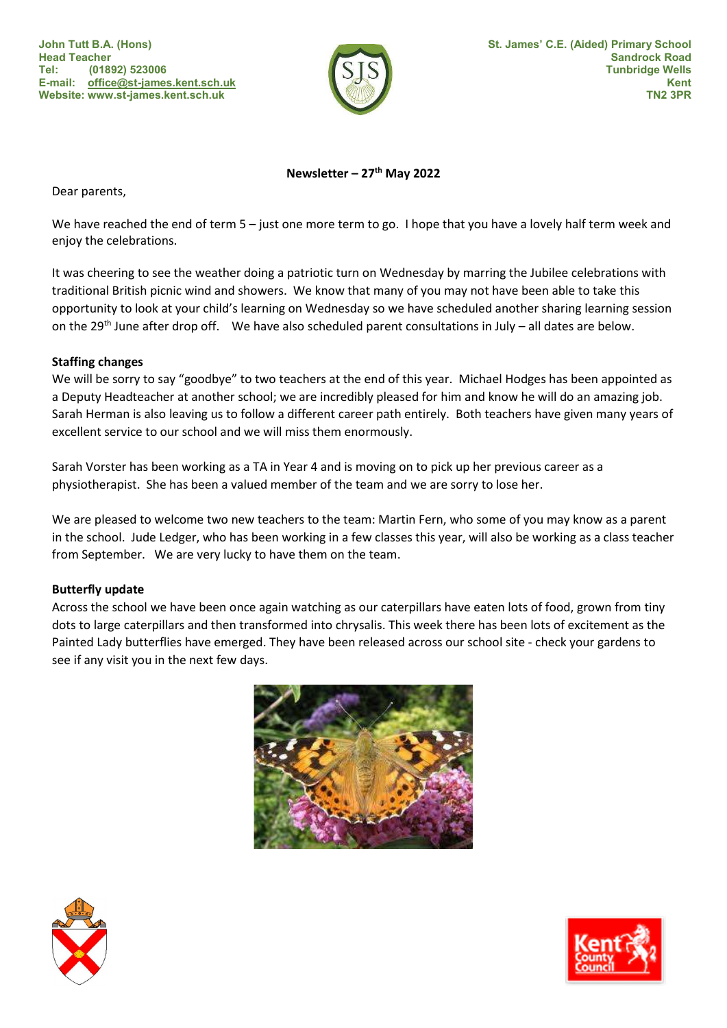lh E-mail: office@st-james.kent.sch.uk John Tutt B.A. (Hons) Head Teacher Tel: (01892) 523006 Website: www.st-james.kent.sch.uk



## Newsletter –  $27<sup>th</sup>$  May 2022

Dear parents,

We have reached the end of term 5 – just one more term to go. I hope that you have a lovely half term week and enjoy the celebrations.

It was cheering to see the weather doing a patriotic turn on Wednesday by marring the Jubilee celebrations with traditional British picnic wind and showers. We know that many of you may not have been able to take this opportunity to look at your child's learning on Wednesday so we have scheduled another sharing learning session on the 29<sup>th</sup> June after drop off. We have also scheduled parent consultations in July – all dates are below.

## Staffing changes

We will be sorry to say "goodbye" to two teachers at the end of this year. Michael Hodges has been appointed as a Deputy Headteacher at another school; we are incredibly pleased for him and know he will do an amazing job. Sarah Herman is also leaving us to follow a different career path entirely. Both teachers have given many years of excellent service to our school and we will miss them enormously.

Sarah Vorster has been working as a TA in Year 4 and is moving on to pick up her previous career as a physiotherapist. She has been a valued member of the team and we are sorry to lose her.

We are pleased to welcome two new teachers to the team: Martin Fern, who some of you may know as a parent in the school. Jude Ledger, who has been working in a few classes this year, will also be working as a class teacher from September. We are very lucky to have them on the team.

## Butterfly update

Across the school we have been once again watching as our caterpillars have eaten lots of food, grown from tiny dots to large caterpillars and then transformed into chrysalis. This week there has been lots of excitement as the Painted Lady butterflies have emerged. They have been released across our school site - check your gardens to see if any visit you in the next few days.





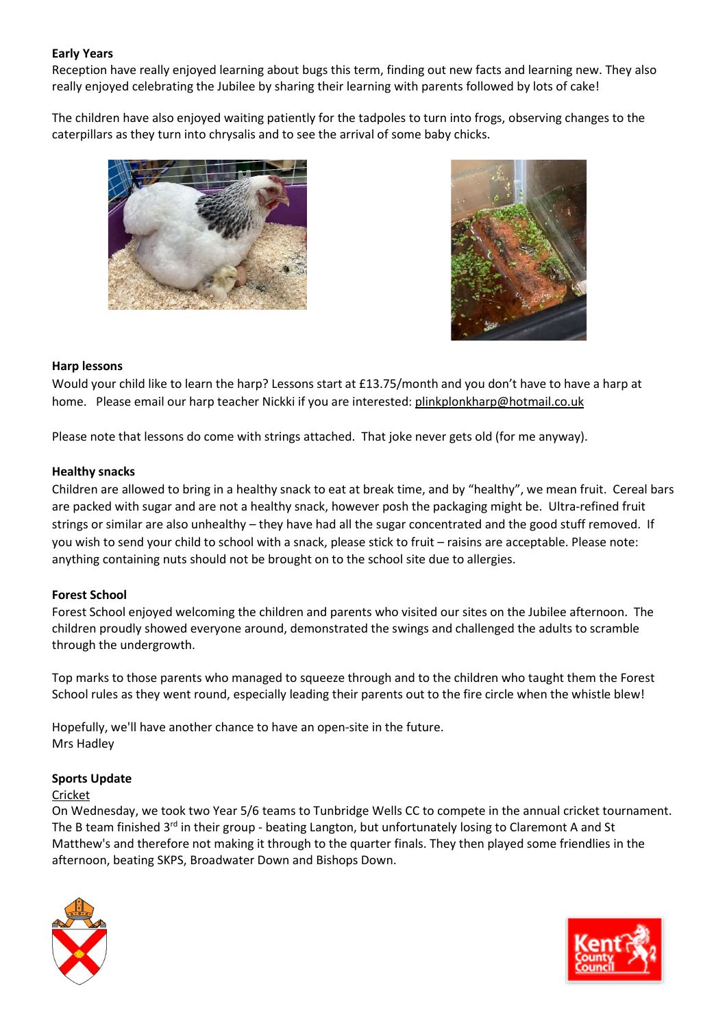## Early Years

Reception have really enjoyed learning about bugs this term, finding out new facts and learning new. They also really enjoyed celebrating the Jubilee by sharing their learning with parents followed by lots of cake!

The children have also enjoyed waiting patiently for the tadpoles to turn into frogs, observing changes to the caterpillars as they turn into chrysalis and to see the arrival of some baby chicks.





#### Harp lessons

Would your child like to learn the harp? Lessons start at £13.75/month and you don't have to have a harp at home. Please email our harp teacher Nickki if you are interested: plinkplonkharp@hotmail.co.uk

Please note that lessons do come with strings attached. That joke never gets old (for me anyway).

## Healthy snacks

Children are allowed to bring in a healthy snack to eat at break time, and by "healthy", we mean fruit. Cereal bars are packed with sugar and are not a healthy snack, however posh the packaging might be. Ultra-refined fruit strings or similar are also unhealthy – they have had all the sugar concentrated and the good stuff removed. If you wish to send your child to school with a snack, please stick to fruit – raisins are acceptable. Please note: anything containing nuts should not be brought on to the school site due to allergies.

## Forest School

Forest School enjoyed welcoming the children and parents who visited our sites on the Jubilee afternoon. The children proudly showed everyone around, demonstrated the swings and challenged the adults to scramble through the undergrowth.

Top marks to those parents who managed to squeeze through and to the children who taught them the Forest School rules as they went round, especially leading their parents out to the fire circle when the whistle blew!

Hopefully, we'll have another chance to have an open-site in the future. Mrs Hadley

#### Sports Update

#### Cricket

On Wednesday, we took two Year 5/6 teams to Tunbridge Wells CC to compete in the annual cricket tournament. The B team finished  $3<sup>rd</sup>$  in their group - beating Langton, but unfortunately losing to Claremont A and St Matthew's and therefore not making it through to the quarter finals. They then played some friendlies in the afternoon, beating SKPS, Broadwater Down and Bishops Down.



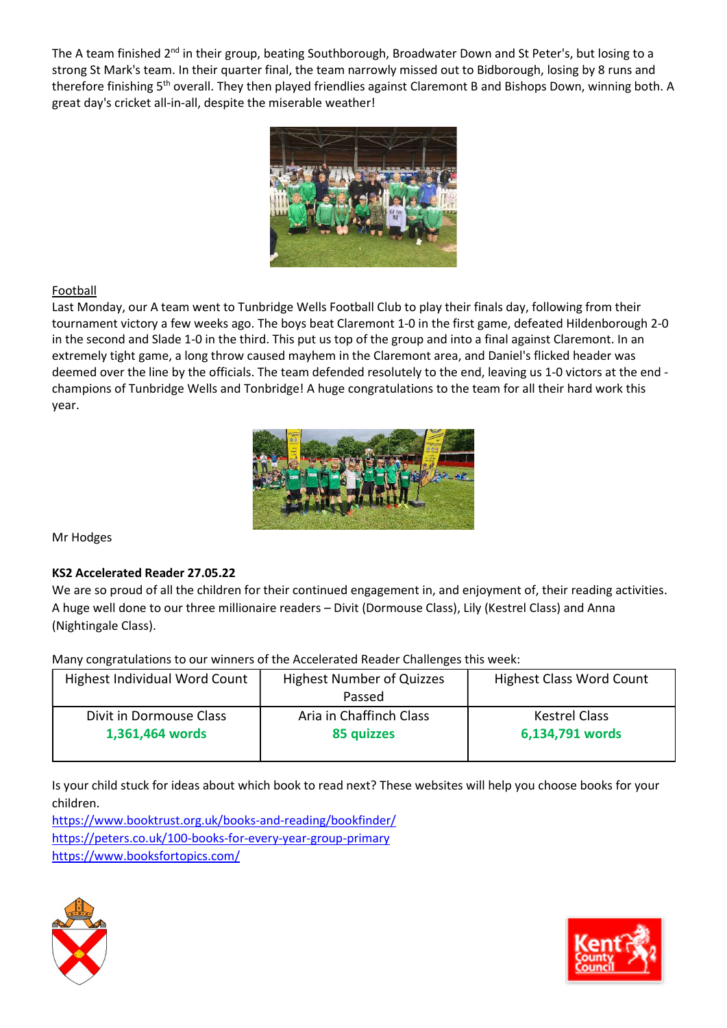The A team finished 2<sup>nd</sup> in their group, beating Southborough, Broadwater Down and St Peter's, but losing to a strong St Mark's team. In their quarter final, the team narrowly missed out to Bidborough, losing by 8 runs and therefore finishing 5<sup>th</sup> overall. They then played friendlies against Claremont B and Bishops Down, winning both. A great day's cricket all-in-all, despite the miserable weather!



# Football

Last Monday, our A team went to Tunbridge Wells Football Club to play their finals day, following from their tournament victory a few weeks ago. The boys beat Claremont 1-0 in the first game, defeated Hildenborough 2-0 in the second and Slade 1-0 in the third. This put us top of the group and into a final against Claremont. In an extremely tight game, a long throw caused mayhem in the Claremont area, and Daniel's flicked header was deemed over the line by the officials. The team defended resolutely to the end, leaving us 1-0 victors at the end champions of Tunbridge Wells and Tonbridge! A huge congratulations to the team for all their hard work this year.



Mr Hodges

## KS2 Accelerated Reader 27.05.22

We are so proud of all the children for their continued engagement in, and enjoyment of, their reading activities. A huge well done to our three millionaire readers – Divit (Dormouse Class), Lily (Kestrel Class) and Anna (Nightingale Class).

Many congratulations to our winners of the Accelerated Reader Challenges this week:

| Highest Individual Word Count | <b>Highest Number of Quizzes</b><br>Passed | <b>Highest Class Word Count</b> |
|-------------------------------|--------------------------------------------|---------------------------------|
| Divit in Dormouse Class       | Aria in Chaffinch Class                    | <b>Kestrel Class</b>            |
| 1,361,464 words               | 85 quizzes                                 | 6,134,791 words                 |

Is your child stuck for ideas about which book to read next? These websites will help you choose books for your children.

https://www.booktrust.org.uk/books-and-reading/bookfinder/ https://peters.co.uk/100-books-for-every-year-group-primary https://www.booksfortopics.com/